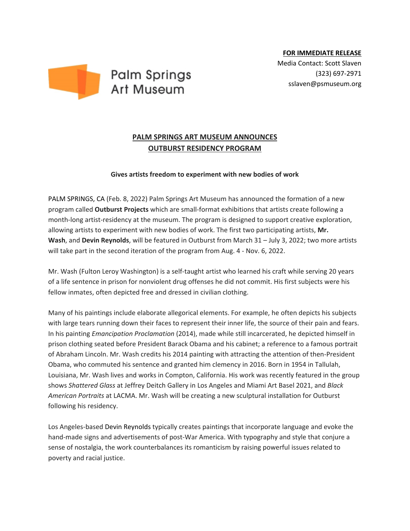

## **PALM SPRINGS ART MUSEUM ANNOUNCES OUTBURST RESIDENCY PROGRAM**

## **Gives artists freedom to experiment with new bodies of work**

PALM SPRINGS, CA (Feb. 8, 2022) Palm Springs Art Museum has announced the formation of a new program called **Outburst Projects** which are small-format exhibitions that artists create following a month-long artist-residency at the museum. The program is designed to support creative exploration, allowing artists to experiment with new bodies of work. The first two participating artists, **Mr. Wash**, and **Devin Reynolds**, will be featured in Outburst from March 31 – July 3, 2022; two more artists will take part in the second iteration of the program from Aug. 4 - Nov. 6, 2022.

Mr. Wash (Fulton Leroy Washington) is a self-taught artist who learned his craft while serving 20 years of a life sentence in prison for nonviolent drug offenses he did not commit. His first subjects were his fellow inmates, often depicted free and dressed in civilian clothing.

Many of his paintings include elaborate allegorical elements. For example, he often depicts his subjects with large tears running down their faces to represent their inner life, the source of their pain and fears. In his painting *Emancipation Proclamation* (2014), made while still incarcerated, he depicted himself in prison clothing seated before President Barack Obama and his cabinet; a reference to a famous portrait of Abraham Lincoln. Mr. Wash credits his 2014 painting with attracting the attention of then-President Obama, who commuted his sentence and granted him clemency in 2016. Born in 1954 in Tallulah, Louisiana, Mr. Wash lives and works in Compton, California. His work was recently featured in the group shows *Shattered Glass* at Jeffrey Deitch Gallery in Los Angeles and Miami Art Basel 2021, and *Black American Portraits* at LACMA. Mr. Wash will be creating a new sculptural installation for Outburst following his residency.

Los Angeles-based Devin Reynolds typically creates paintings that incorporate language and evoke the hand-made signs and advertisements of post-War America. With typography and style that conjure a sense of nostalgia, the work counterbalances its romanticism by raising powerful issues related to poverty and racial justice.